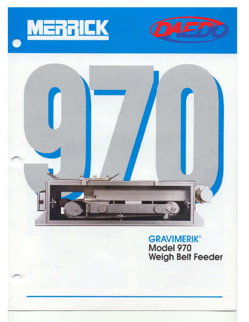





**GRAVIMERIK®** Model 970 Weigh Belt Feeder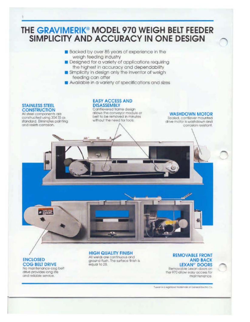

- **Backed by over 85 years of experience in the** weigh feeding Industry
- Designed for a variety of applications requiring the highest in accuracy and dependability
- Simplicity in design only the inventor of weigh feeding can offer
- Available in a variety of specifications and sizes

## **STAINLESS STEEL CONSTRUCTION**

All steel components are constructed using 304 SS as standard. Eliminates pointing and resists corrosion.

**EASY ACCESS AND DISASSEMBLY** Cantlievered frame design allows the conveyor module or beit to be removed in minutes without the need for tools.

**WASHDOWN MOTOR** Sealed, cantilever mounted

drive motor is washdown and corrosion resistant.

# **ENCLOSED COG BELT DRIVE**

No maintenance cog belt drive provides long life and reliable service.

≥ 三宝

# **HIGH QUALITY FINISH**

All welds are continuous and around flush. The surface finish is equal to 28.

#### **REMOVABLE FRONT AND BACK LEXAN<sup>®</sup>** DOORS Removable Lexan doors on

the 970 allow easy access for maintenance.

"Leicznik a registered trademak of General Electric Co.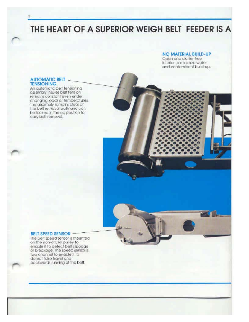THE HEART OF A SUPERIOR WEIGH BELT FEEDER IS A

# **NO MATERIAL BUILD-UP**

Open and clutter-free Interior to minimize water and contaminant build-up.

#### **AUTOMATIC BELT TENSIONING**

An automatic belt tensioning assembly insures belt tension remains constant even under changing loads or temperatures. The assembly remains clear of the belt removal path and can be locked in the up position for easy belt removal.

#### **BELT SPEED SENSOR -**

The belt speed sensor is mounted on the non-driven pulley to enable it to detect belt slippage or breakage. The speed sensor is two channel to enable it to detect false travel and backwards running of the bett.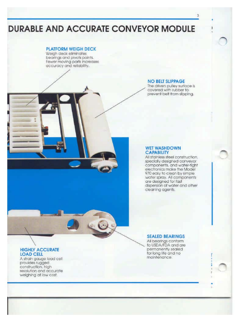# **DURABLE AND ACCURATE CONVEYOR MODULE**

# **PLATFORM WEIGH DECK**

Weigh deck eliminates bearings and pivots points. Fewer moving parts increases accuracy and reliability.

# **NO BELT SLIPPAGE**

The driven pulley surface is covered with rubber to prevent belt from slipping.

#### **WET WASHDOWN CAPABILITY**

All stainless steel construction. specially designed conveyor components, and water-tight electronics make the Model 970 easy to clean by simple. water spray. All components<br>are designed for fast dispersion of water and other cleaning agents.

#### **SEALED BEARINGS**

All bearings conform to USDA/FDA and are permanently sealed for long life and no maintenance.

# **HIGHLY ACCURATE LOAD CELL**

A strain gauge load cell provides rugged construction, high resolution and accurate weighing at low cost.

# $\mathfrak{A}$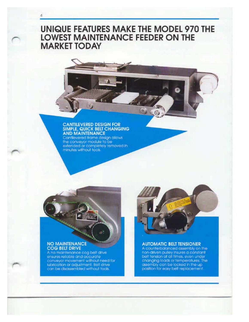# **UNIQUE FEATURES MAKE THE MODEL 970 THE LOWEST MAINTENANCE FEEDER ON THE MARKET TODAY**

# CANTILEVERED DESIGN FOR<br>SIMPLE, QUICK BELT CHANGING<br>AND MAINTENANCE

 $\mathcal{O}$ 

Cantilevered frame design allows<br>the conveyor module to be<br>extended or completely removed in<br>minutes without tools

## **NO MAINTENANCE COG BELT DRIVE**

4

A no maintenance cog belt drive ensures reliable and accurate conveyor movement without need for lubrication or adjustment. Belt drive can be disassembled without tools.



#### **AUTOMATIC BELT TENSIONER**

A counterbalanced assembly on the non-driven pulley insures a constant<br>belt tension at all times, even under changing loads or temperatures. The assembly can be locked in the up position for easy belt replacement.